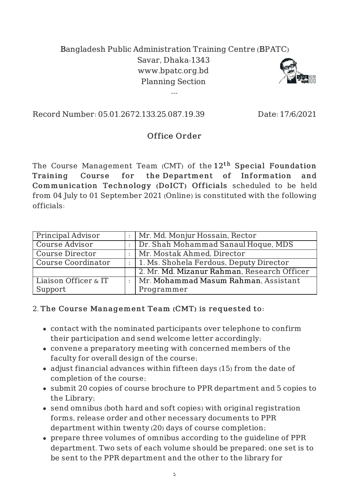## Bangladesh Public Administration Training Centre (BPATC) Savar, Dhaka-1343 www.bpatc.org.bd Planning Section

---



Record Number: 05.01.2672.133.25.087.19.39 Date: 17/6/2021

## Office Order

The Course Management Team (CMT) of the  $12^{\rm th}$  Special Foundation Training Course for the Department of Information and Communication Technology (DoICT) Officials scheduled to be held from 04 July to 01 September 2021 (Online) is constituted with the following officials:

| Principal Advisor         |                | Mr. Md. Monjur Hossain, Rector              |
|---------------------------|----------------|---------------------------------------------|
| <b>Course Advisor</b>     |                | Dr. Shah Mohammad Sanaul Hoque, MDS         |
| <b>Course Director</b>    |                | Mr. Mostak Ahmed, Director                  |
| <b>Course Coordinator</b> | $\mathbb{R}^2$ | 1. Ms. Shohela Ferdous, Deputy Director     |
|                           |                | 2. Mr. Md. Mizanur Rahman, Research Officer |
| Liaison Officer & IT      |                | :   Mr. Mohammad Masum Rahman, Assistant    |
| Support                   |                | Programmer                                  |

## 2. The Course Management Team (CMT) is requested to:

- contact with the nominated participants over telephone to confirm their participation and send welcome letter accordingly;
- convene a preparatory meeting with concerned members of the faculty for overall design of the course;
- adjust financial advances within fifteen days (15) from the date of completion of the course;
- submit 20 copies of course brochure to PPR department and 5 copies to the Library;
- send omnibus (both hard and soft copies) with original registration forms, release order and other necessary documents to PPR department within twenty (20) days of course completion;
- prepare three volumes of omnibus according to the guideline of PPR department. Two sets of each volume should be prepared; one set is to be sent to the PPR department and the other to the library for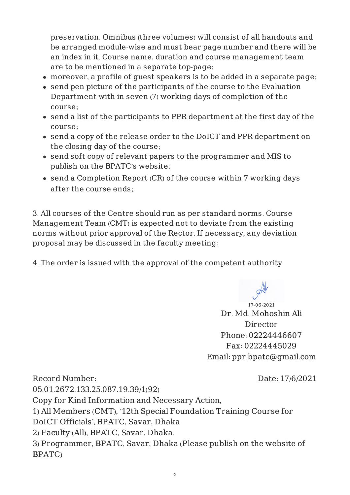preservation. Omnibus (three volumes) will consist of all handouts and be arranged module-wise and must bear page number and there will be an index in it. Course name, duration and course management team are to be mentioned in a separate top-page;

- moreover, a profile of guest speakers is to be added in a separate page;
- send pen picture of the participants of the course to the Evaluation Department with in seven (7) working days of completion of the course;
- send a list of the participants to PPR department at the first day of the course;
- send a copy of the release order to the DoICT and PPR department on the closing day of the course;
- send soft copy of relevant papers to the programmer and MIS to publish on the BPATC's website;
- send a Completion Report (CR) of the course within 7 working days after the course ends;

3. All courses of the Centre should run as per standard norms. Course Management Team (CMT) is expected not to deviate from the existing norms without prior approval of the Rector. If necessary, any deviation proposal may be discussed in the faculty meeting;

4. The order is issued with the approval of the competent authority.

17-06-2021 Dr. Md. Mohoshin Ali Director Phone: 02224446607 Fax: 02224445029 Email: ppr.bpatc@gmail.com

Record Number: 05.01.2672.133.25.087.19.39/1(92) Date: 17/6/2021 Copy for Kind Information and Necessary Action, 1) All Members (CMT), '12th Special Foundation Training Course for DoICT Officials', BPATC, Savar, Dhaka 2) Faculty (All), BPATC, Savar, Dhaka. 3) Programmer, BPATC, Savar, Dhaka (Please publish on the website of BPATC)